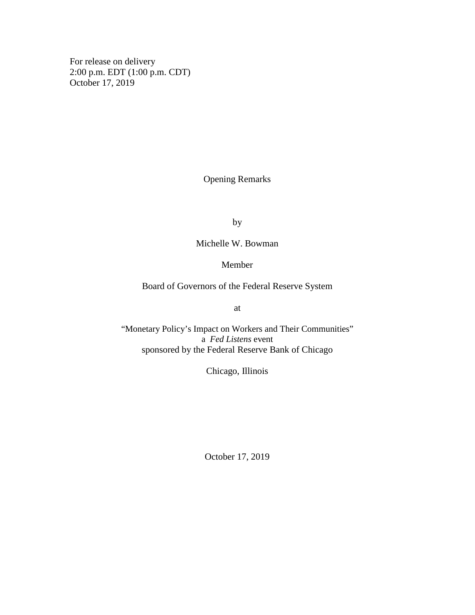For release on delivery 2:00 p.m. EDT (1:00 p.m. CDT) October 17, 2019

Opening Remarks

by

Michelle W. Bowman

## Member

Board of Governors of the Federal Reserve System

at

"Monetary Policy's Impact on Workers and Their Communities" a *Fed Listens* event sponsored by the Federal Reserve Bank of Chicago

Chicago, Illinois

October 17, 2019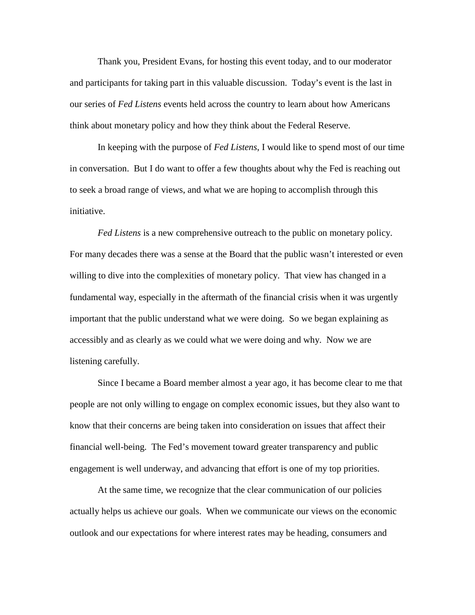Thank you, President Evans, for hosting this event today, and to our moderator and participants for taking part in this valuable discussion. Today's event is the last in our series of *Fed Listens* events held across the country to learn about how Americans think about monetary policy and how they think about the Federal Reserve.

In keeping with the purpose of *Fed Listens*, I would like to spend most of our time in conversation. But I do want to offer a few thoughts about why the Fed is reaching out to seek a broad range of views, and what we are hoping to accomplish through this initiative.

*Fed Listens* is a new comprehensive outreach to the public on monetary policy. For many decades there was a sense at the Board that the public wasn't interested or even willing to dive into the complexities of monetary policy. That view has changed in a fundamental way, especially in the aftermath of the financial crisis when it was urgently important that the public understand what we were doing. So we began explaining as accessibly and as clearly as we could what we were doing and why. Now we are listening carefully.

Since I became a Board member almost a year ago, it has become clear to me that people are not only willing to engage on complex economic issues, but they also want to know that their concerns are being taken into consideration on issues that affect their financial well-being. The Fed's movement toward greater transparency and public engagement is well underway, and advancing that effort is one of my top priorities.

At the same time, we recognize that the clear communication of our policies actually helps us achieve our goals. When we communicate our views on the economic outlook and our expectations for where interest rates may be heading, consumers and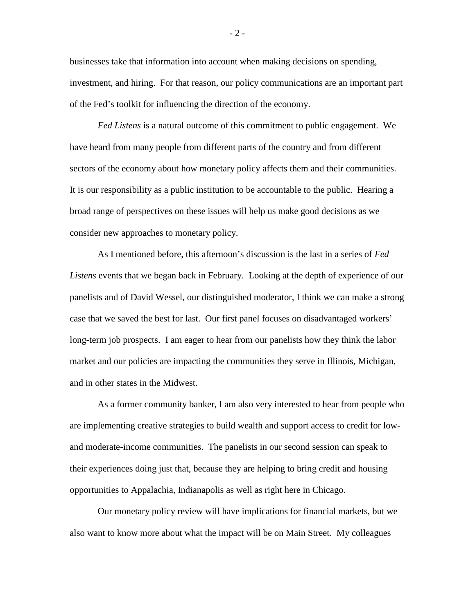businesses take that information into account when making decisions on spending, investment, and hiring. For that reason, our policy communications are an important part of the Fed's toolkit for influencing the direction of the economy.

*Fed Listens* is a natural outcome of this commitment to public engagement. We have heard from many people from different parts of the country and from different sectors of the economy about how monetary policy affects them and their communities. It is our responsibility as a public institution to be accountable to the public. Hearing a broad range of perspectives on these issues will help us make good decisions as we consider new approaches to monetary policy.

As I mentioned before, this afternoon's discussion is the last in a series of *Fed Listens* events that we began back in February. Looking at the depth of experience of our panelists and of David Wessel, our distinguished moderator, I think we can make a strong case that we saved the best for last. Our first panel focuses on disadvantaged workers' long-term job prospects. I am eager to hear from our panelists how they think the labor market and our policies are impacting the communities they serve in Illinois, Michigan, and in other states in the Midwest.

As a former community banker, I am also very interested to hear from people who are implementing creative strategies to build wealth and support access to credit for lowand moderate-income communities. The panelists in our second session can speak to their experiences doing just that, because they are helping to bring credit and housing opportunities to Appalachia, Indianapolis as well as right here in Chicago.

Our monetary policy review will have implications for financial markets, but we also want to know more about what the impact will be on Main Street. My colleagues

- 2 -